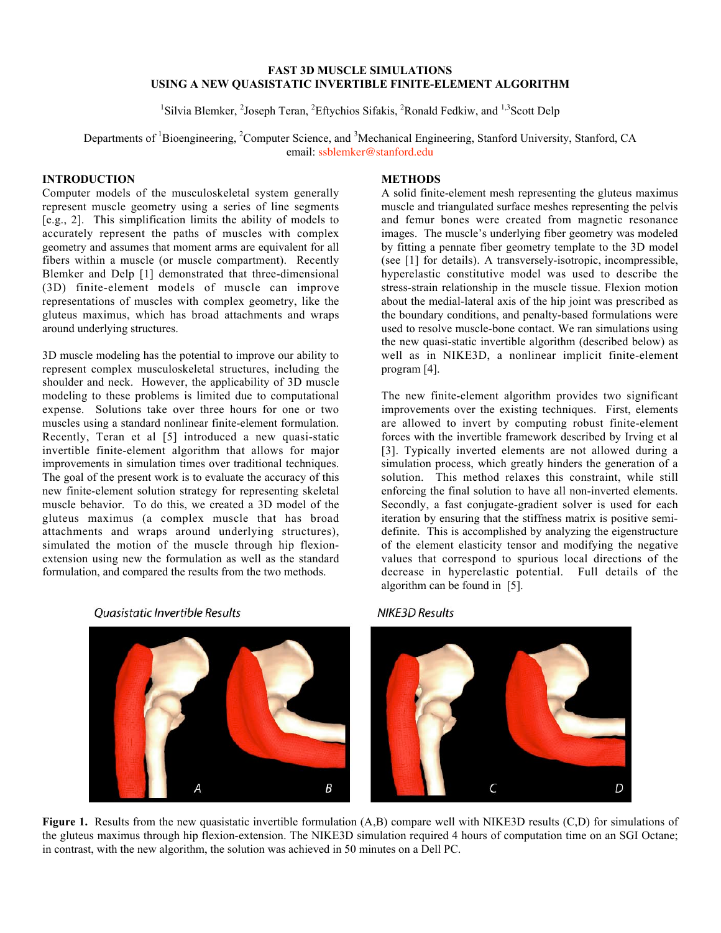## FAST 3D MUSCLE SIMULATIONS USING A NEW QUASISTATIC INVERTIBLE FINITE-ELEMENT ALGORITHM

<sup>1</sup>Silvia Blemker, <sup>2</sup>Joseph Teran, <sup>2</sup>Eftychios Sifakis, <sup>2</sup>Ronald Fedkiw, and <sup>1,3</sup>Scott Delp

Departments of <sup>1</sup>Bioengineering, <sup>2</sup>Computer Science, and <sup>3</sup>Mechanical Engineering, Stanford University, Stanford, CA email: ssblemker@stanford.edu

# **INTRODUCTION**

Computer models of the musculoskeletal system generally represent muscle geometry using a series of line segments [e.g., 2]. This simplification limits the ability of models to accurately represent the paths of muscles with complex geometry and assumes that moment arms are equivalent for all fibers within a muscle (or muscle compartment). Recently Blemker and Delp [1] demonstrated that three-dimensional (3D) finite-element models of muscle can improve representations of muscles with complex geometry, like the gluteus maximus, which has broad attachments and wraps around underlying structures.

3D muscle modeling has the potential to improve our ability to represent complex musculoskeletal structures, including the shoulder and neck. However, the applicability of 3D muscle modeling to these problems is limited due to computational expense. Solutions take over three hours for one or two muscles using a standard nonlinear finite-element formulation. Recently, Teran et al [5] introduced a new quasi-static invertible finite-element algorithm that allows for major improvements in simulation times over traditional techniques. The goal of the present work is to evaluate the accuracy of this new finite-element solution strategy for representing skeletal muscle behavior. To do this, we created a 3D model of the gluteus maximus (a complex muscle that has broad attachments and wraps around underlying structures), simulated the motion of the muscle through hip flexionextension using new the formulation as well as the standard formulation, and compared the results from the two methods.



#### **Ouasistatic Invertible Results**

# **METHODS**

A solid finite-element mesh representing the gluteus maximus muscle and triangulated surface meshes representing the pelvis and femur bones were created from magnetic resonance images. The muscle's underlying fiber geometry was modeled by fitting a pennate fiber geometry template to the 3D model (see [1] for details). A transversely-isotropic, incompressible, hyperelastic constitutive model was used to describe the stress-strain relationship in the muscle tissue. Flexion motion about the medial-lateral axis of the hip joint was prescribed as the boundary conditions, and penalty-based formulations were used to resolve muscle-bone contact. We ran simulations using the new quasi-static invertible algorithm (described below) as well as in NIKE3D, a nonlinear implicit finite-element program [4].

The new finite-element algorithm provides two significant improvements over the existing techniques. First, elements are allowed to invert by computing robust finite-element forces with the invertible framework described by Irving et al [3]. Typically inverted elements are not allowed during a simulation process, which greatly hinders the generation of a solution. This method relaxes this constraint, while still enforcing the final solution to have all non-inverted elements. Secondly, a fast conjugate-gradient solver is used for each iteration by ensuring that the stiffness matrix is positive semidefinite. This is accomplished by analyzing the eigenstructure of the element elasticity tensor and modifying the negative values that correspond to spurious local directions of the decrease in hyperelastic potential. Full details of the algorithm can be found in [5].

### **NIKE3D Results**



Figure 1. Results from the new quasistatic invertible formulation (A,B) compare well with NIKE3D results (C,D) for simulations of the gluteus maximus through hip flexion-extension. The NIKE3D simulation required 4 hours of computation time on an SGI Octane; in contrast, with the new algorithm, the solution was achieved in 50 minutes on a Dell PC.